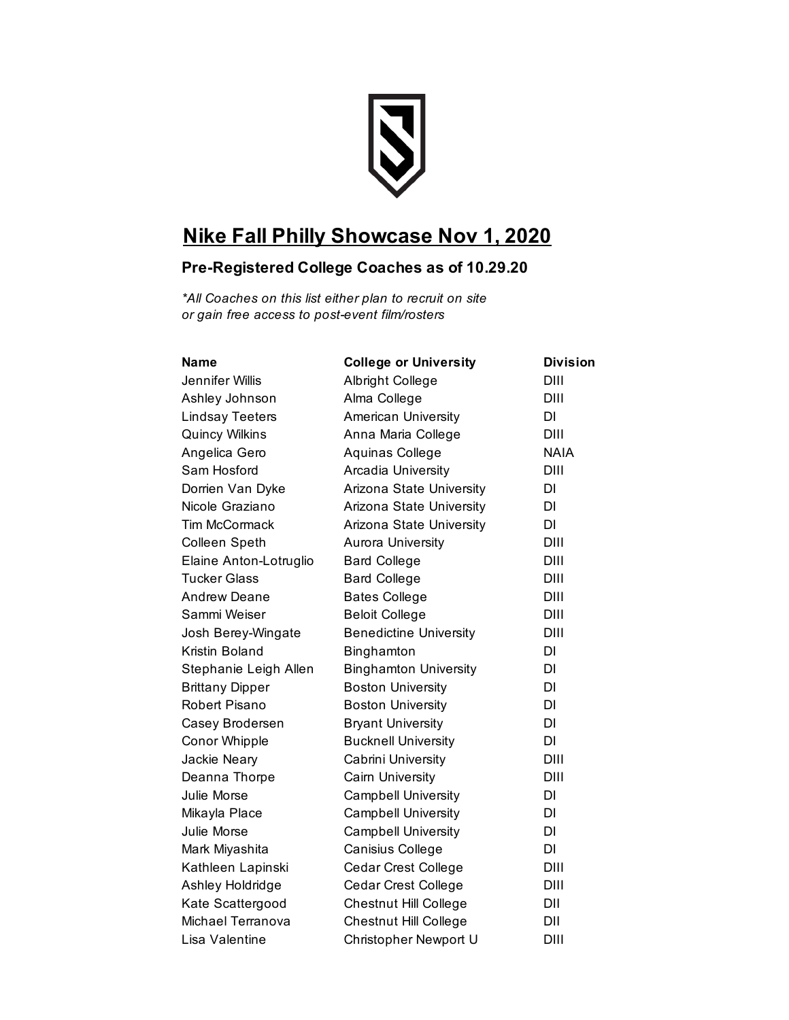

## **Nike Fall Philly Showcase Nov 1, 2020**

## **Pre-Registered College Coaches as of 10.29.20**

*\*All Coaches on this list either plan to recruit on site or gain free access to post-event film/rosters* 

| Name                   | <b>College or University</b>  | <b>Division</b> |
|------------------------|-------------------------------|-----------------|
| Jennifer Willis        | Albright College              | DIII            |
| Ashley Johnson         | Alma College                  | DIII            |
| <b>Lindsay Teeters</b> | American University           | DI              |
| <b>Quincy Wilkins</b>  | Anna Maria College            | DIII            |
| Angelica Gero          | Aquinas College               | <b>NAIA</b>     |
| Sam Hosford            | Arcadia University            | DIII            |
| Dorrien Van Dyke       | Arizona State University      | DI              |
| Nicole Graziano        | Arizona State University      | DI              |
| <b>Tim McCormack</b>   | Arizona State University      | DI              |
| <b>Colleen Speth</b>   | <b>Aurora University</b>      | DIII            |
| Elaine Anton-Lotruglio | <b>Bard College</b>           | DIII            |
| <b>Tucker Glass</b>    | <b>Bard College</b>           | DIII            |
| <b>Andrew Deane</b>    | <b>Bates College</b>          | DIII            |
| Sammi Weiser           | <b>Beloit College</b>         | DIII            |
| Josh Berey-Wingate     | <b>Benedictine University</b> | DIII            |
| Kristin Boland         | Binghamton                    | DI              |
| Stephanie Leigh Allen  | <b>Binghamton University</b>  | DI              |
| <b>Brittany Dipper</b> | <b>Boston University</b>      | DI              |
| Robert Pisano          | <b>Boston University</b>      | DI              |
| Casey Brodersen        | <b>Bryant University</b>      | DI              |
| Conor Whipple          | <b>Bucknell University</b>    | DI              |
| Jackie Neary           | Cabrini University            | DIII            |
| Deanna Thorpe          | Cairn University              | DIII            |
| Julie Morse            | <b>Campbell University</b>    | DI              |
| Mikayla Place          | <b>Campbell University</b>    | DI              |
| Julie Morse            | <b>Campbell University</b>    | DI              |
| Mark Miyashita         | Canisius College              | DI              |
| Kathleen Lapinski      | <b>Cedar Crest College</b>    | DIII            |
| Ashley Holdridge       | <b>Cedar Crest College</b>    | DIII            |
| Kate Scattergood       | Chestnut Hill College         | DII             |
| Michael Terranova      | Chestnut Hill College         | DII             |
| Lisa Valentine         | Christopher Newport U         | DIII            |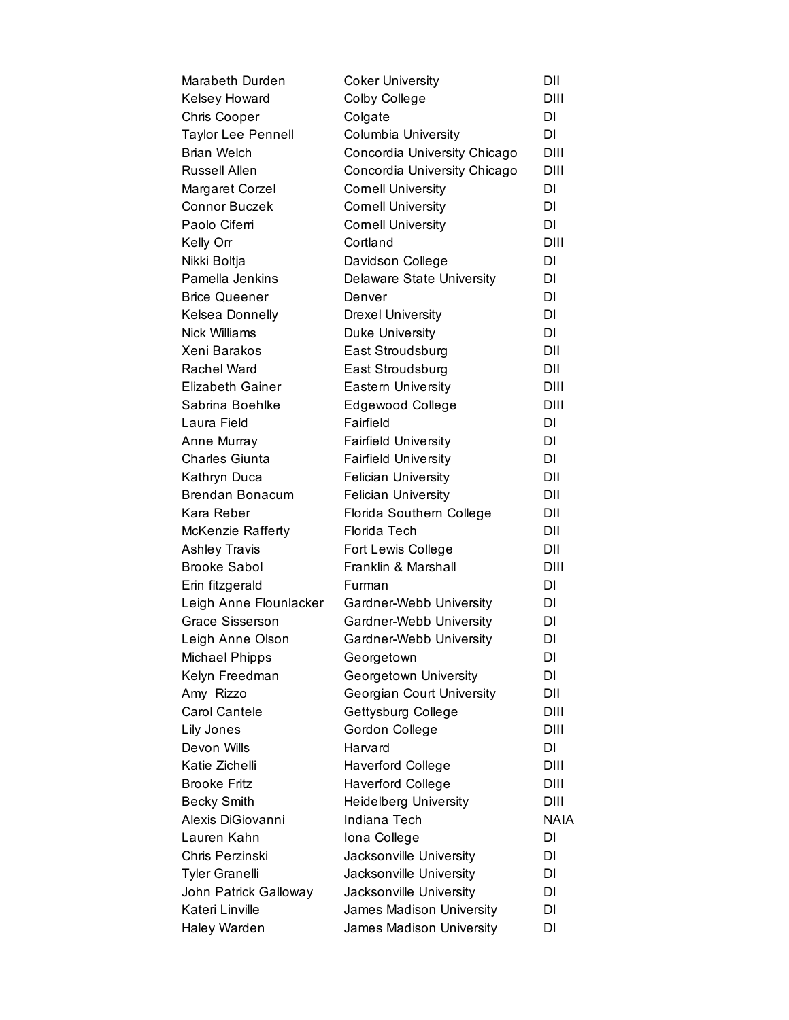| Marabeth Durden           | <b>Coker University</b>          | DII         |
|---------------------------|----------------------------------|-------------|
| Kelsey Howard             | Colby College                    | DIII        |
| Chris Cooper              | Colgate                          | DI          |
| <b>Taylor Lee Pennell</b> | Columbia University              | DI          |
| <b>Brian Welch</b>        | Concordia University Chicago     | DIII        |
| Russell Allen             | Concordia University Chicago     | DIII        |
| Margaret Corzel           | <b>Cornell University</b>        | DI          |
| Connor Buczek             | <b>Cornell University</b>        | DI          |
| Paolo Ciferri             | <b>Cornell University</b>        | DI          |
| Kelly Orr                 | Cortland                         | DIII        |
| Nikki Boltja              | Davidson College                 | DI          |
| Pamella Jenkins           | <b>Delaware State University</b> | DI          |
| <b>Brice Queener</b>      | Denver                           | DI          |
| Kelsea Donnelly           | <b>Drexel University</b>         | DI          |
| Nick Williams             | <b>Duke University</b>           | DI          |
| Xeni Barakos              | East Stroudsburg                 | DII         |
| Rachel Ward               | East Stroudsburg                 | DII         |
| <b>Elizabeth Gainer</b>   | <b>Eastern University</b>        | DIII        |
| Sabrina Boehlke           | <b>Edgewood College</b>          | DIII        |
| Laura Field               | Fairfield                        | DI          |
| Anne Murray               | <b>Fairfield University</b>      | DI          |
| Charles Giunta            | <b>Fairfield University</b>      | DI          |
| Kathryn Duca              | <b>Felician University</b>       | DII         |
| <b>Brendan Bonacum</b>    | <b>Felician University</b>       | DII         |
| Kara Reber                | Florida Southern College         | DII         |
| McKenzie Rafferty         | Florida Tech                     | DII         |
| Ashley Travis             | Fort Lewis College               | DII         |
| <b>Brooke Sabol</b>       | Franklin & Marshall              | DIII        |
| Erin fitzgerald           | Furman                           | DI          |
| Leigh Anne Flounlacker    | Gardner-Webb University          | DI          |
| Grace Sisserson           | Gardner-Webb University          | DI          |
| Leigh Anne Olson          | Gardner-Webb University          | DI          |
| Michael Phipps            | Georgetown                       | DI          |
| Kelyn Freedman            | Georgetown University            | DI          |
| Amy Rizzo                 | Georgian Court University        | DII         |
| Carol Cantele             | Gettysburg College               | DIII        |
| Lily Jones                | Gordon College                   | DIII        |
| Devon Wills               | Harvard                          | DI          |
| Katie Zichelli            | <b>Haverford College</b>         | DIII        |
| <b>Brooke Fritz</b>       | <b>Haverford College</b>         | DIII        |
| <b>Becky Smith</b>        | <b>Heidelberg University</b>     | <b>DIII</b> |
| Alexis DiGiovanni         | Indiana Tech                     | <b>NAIA</b> |
| Lauren Kahn               | Iona College                     | DI          |
| Chris Perzinski           | Jacksonville University          | DI          |
| Tyler Granelli            | Jacksonville University          | DI          |
| John Patrick Galloway     | Jacksonville University          | DI          |
| Kateri Linville           | James Madison University         | DI          |
| Haley Warden              | James Madison University         | DI          |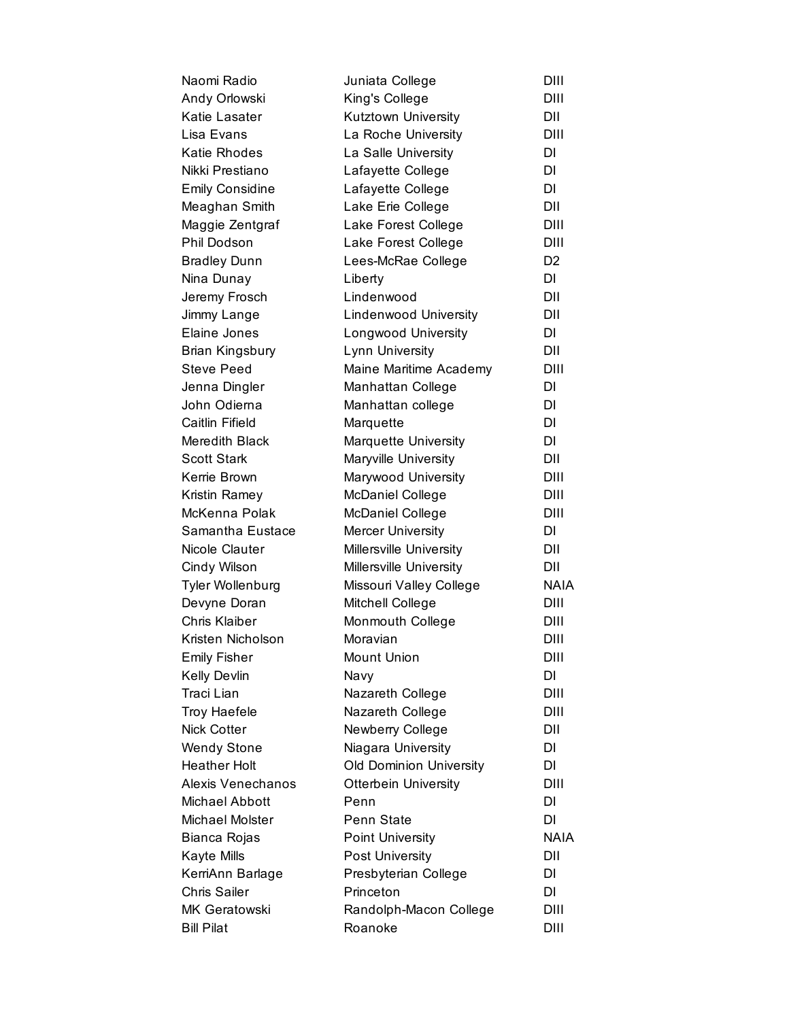| Naomi Radio            | Juniata College              | DIII           |
|------------------------|------------------------------|----------------|
| Andy Orlowski          | King's College               | DIII           |
| Katie Lasater          | Kutztown University          | DII            |
| Lisa Evans             | La Roche University          | DIII           |
| Katie Rhodes           | La Salle University          | DI             |
| Nikki Prestiano        | Lafayette College            | DI             |
| <b>Emily Considine</b> | Lafayette College            | DI             |
| Meaghan Smith          | Lake Erie College            | DII            |
| Maggie Zentgraf        | Lake Forest College          | DIII           |
| <b>Phil Dodson</b>     | Lake Forest College          | DIII           |
| <b>Bradley Dunn</b>    | Lees-McRae College           | D <sub>2</sub> |
| Nina Dunay             | Liberty                      | DI             |
| Jeremy Frosch          | Lindenwood                   | DII            |
| Jimmy Lange            | <b>Lindenwood University</b> | DII            |
| Elaine Jones           | Longwood University          | DI             |
| Brian Kingsbury        | Lynn University              | DII            |
| <b>Steve Peed</b>      | Maine Maritime Academy       | DIII           |
| Jenna Dingler          | Manhattan College            | DI             |
| John Odierna           | Manhattan college            | DI             |
| Caitlin Fifield        | Marquette                    | DI             |
| Meredith Black         | <b>Marquette University</b>  | DI             |
| <b>Scott Stark</b>     | Maryville University         | DII            |
| Kerrie Brown           | Marywood University          | DIII           |
| Kristin Ramey          | McDaniel College             | <b>DIII</b>    |
| McKenna Polak          | <b>McDaniel College</b>      | DIII           |
| Samantha Eustace       | <b>Mercer University</b>     | DI             |
| Nicole Clauter         | Millersville University      | DII            |
| Cindy Wilson           | Millersville University      | DII            |
| Tyler Wollenburg       | Missouri Valley College      | <b>NAIA</b>    |
| Devyne Doran           | Mitchell College             | DIII           |
| Chris Klaiber          | Monmouth College             | DIII           |
| Kristen Nicholson      | Moravian                     | DIII           |
| <b>Emily Fisher</b>    | Mount Union                  | DIII           |
| Kelly Devlin           | Navy                         | DI             |
| <b>Traci Lian</b>      | Nazareth College             | DIII           |
| <b>Troy Haefele</b>    | Nazareth College             | DIII           |
| <b>Nick Cotter</b>     | Newberry College             | DII            |
| <b>Wendy Stone</b>     | Niagara University           | DI             |
| <b>Heather Holt</b>    | Old Dominion University      | DI             |
| Alexis Venechanos      | <b>Otterbein University</b>  | DIII           |
| Michael Abbott         | Penn                         | DI             |
| Michael Molster        | Penn State                   | DI             |
| Bianca Rojas           | <b>Point University</b>      | <b>NAIA</b>    |
| Kayte Mills            | <b>Post University</b>       | DII            |
| KerriAnn Barlage       | Presbyterian College         | DI             |
| <b>Chris Sailer</b>    | Princeton                    | DI             |
| MK Geratowski          | Randolph-Macon College       | DIII           |
| <b>Bill Pilat</b>      | Roanoke                      | DIII           |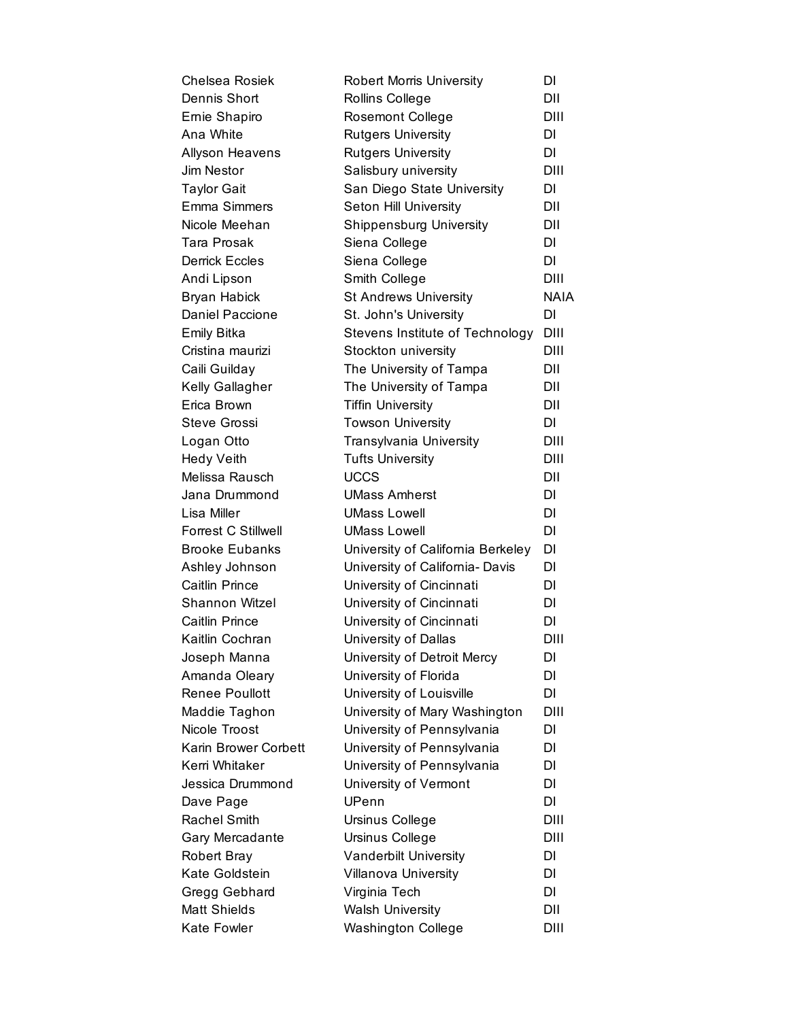| Chelsea Rosiek         | <b>Robert Morris University</b>   | DI          |
|------------------------|-----------------------------------|-------------|
| Dennis Short           | Rollins College                   | DII         |
| Ernie Shapiro          | <b>Rosemont College</b>           | DIII        |
| Ana White              | <b>Rutgers University</b>         | <b>DI</b>   |
| <b>Allyson Heavens</b> | <b>Rutgers University</b>         | DI.         |
| Jim Nestor             | Salisbury university              | DIII        |
| <b>Taylor Gait</b>     | San Diego State University        | DI.         |
| <b>Emma Simmers</b>    | Seton Hill University             | DII         |
| Nicole Meehan          | <b>Shippensburg University</b>    | DII         |
| <b>Tara Prosak</b>     | Siena College                     | DI          |
| <b>Derrick Eccles</b>  | Siena College                     | DI          |
| Andi Lipson            | Smith College                     | DIII        |
| <b>Bryan Habick</b>    | <b>St Andrews University</b>      | <b>NAIA</b> |
| <b>Daniel Paccione</b> | St. John's University             | DI          |
| <b>Emily Bitka</b>     | Stevens Institute of Technology   | <b>DIII</b> |
| Cristina maurizi       | Stockton university               | DIII        |
| Caili Guilday          | The University of Tampa           | DII         |
| Kelly Gallagher        | The University of Tampa           | DII         |
| Erica Brown            | <b>Tiffin University</b>          | DII         |
| <b>Steve Grossi</b>    | <b>Towson University</b>          | DI          |
| Logan Otto             | Transylvania University           | DIII        |
| <b>Hedy Veith</b>      | <b>Tufts University</b>           | <b>DIII</b> |
| Melissa Rausch         | <b>UCCS</b>                       | DII         |
| Jana Drummond          | <b>UMass Amherst</b>              | DI          |
| Lisa Miller            | <b>UMass Lowell</b>               | <b>DI</b>   |
| Forrest C Stillwell    | <b>UMass Lowell</b>               | DI          |
| <b>Brooke Eubanks</b>  | University of California Berkeley | DI          |
| Ashley Johnson         | University of California- Davis   | DI          |
| <b>Caitlin Prince</b>  | University of Cincinnati          | <b>DI</b>   |
| Shannon Witzel         | University of Cincinnati          | DI          |
| <b>Caitlin Prince</b>  | University of Cincinnati          | <b>DI</b>   |
| Kaitlin Cochran        | University of Dallas              | DIII        |
| Joseph Manna           | University of Detroit Mercy       | DI          |
| Amanda Oleary          | University of Florida             | DI          |
| Renee Poullott         | University of Louisville          | DI          |
| Maddie Taghon          | University of Mary Washington     | DIII        |
| Nicole Troost          | University of Pennsylvania        | DI          |
| Karin Brower Corbett   | University of Pennsylvania        | <b>DI</b>   |
| Kerri Whitaker         | University of Pennsylvania        | DI          |
| Jessica Drummond       | University of Vermont             | <b>DI</b>   |
| Dave Page              | UPenn                             | DI          |
| <b>Rachel Smith</b>    | Ursinus College                   | DIII        |
| Gary Mercadante        | Ursinus College                   | DIII        |
| <b>Robert Bray</b>     | Vanderbilt University             | DI          |
| Kate Goldstein         | Villanova University              | DI          |
| Gregg Gebhard          | Virginia Tech                     | DI          |
| <b>Matt Shields</b>    | <b>Walsh University</b>           | DII         |
| Kate Fowler            | <b>Washington College</b>         | DIII        |
|                        |                                   |             |